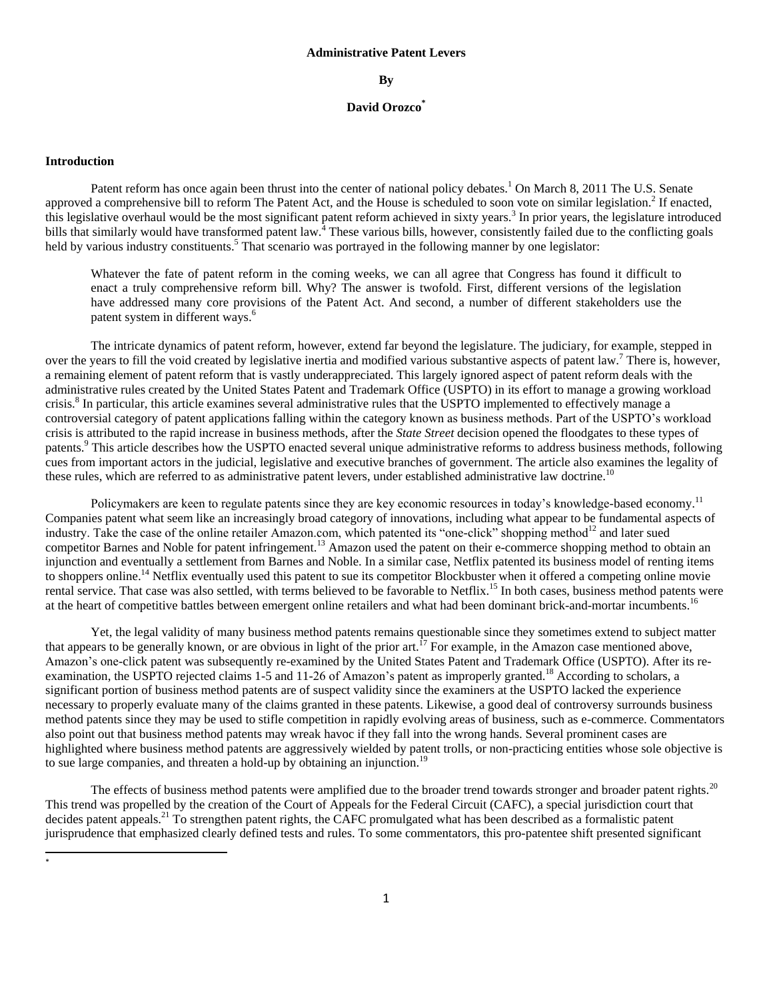#### **Administrative Patent Levers**

#### **By**

#### **David Orozco\***

#### **Introduction**

Patent reform has once again been thrust into the center of national policy debates.<sup>1</sup> On March 8, 2011 The U.S. Senate approved a comprehensive bill to reform The Patent Act, and the House is scheduled to soon vote on similar legislation.<sup>2</sup> If enacted, this legislative overhaul would be the most significant patent reform achieved in sixty years.<sup>3</sup> In prior years, the legislature introduced bills that similarly would have transformed patent law.<sup>4</sup> These various bills, however, consistently failed due to the conflicting goals held by various industry constituents.<sup>5</sup> That scenario was portrayed in the following manner by one legislator:

Whatever the fate of patent reform in the coming weeks, we can all agree that Congress has found it difficult to enact a truly comprehensive reform bill. Why? The answer is twofold. First, different versions of the legislation have addressed many core provisions of the Patent Act. And second, a number of different stakeholders use the patent system in different ways.<sup>6</sup>

The intricate dynamics of patent reform, however, extend far beyond the legislature. The judiciary, for example, stepped in over the years to fill the void created by legislative inertia and modified various substantive aspects of patent law.<sup>7</sup> There is, however, a remaining element of patent reform that is vastly underappreciated. This largely ignored aspect of patent reform deals with the administrative rules created by the United States Patent and Trademark Office (USPTO) in its effort to manage a growing workload crisis.<sup>8</sup> In particular, this article examines several administrative rules that the USPTO implemented to effectively manage a controversial category of patent applications falling within the category known as business methods. Part of the USPTO"s workload crisis is attributed to the rapid increase in business methods, after the *State Street* decision opened the floodgates to these types of patents.<sup>9</sup> This article describes how the USPTO enacted several unique administrative reforms to address business methods, following cues from important actors in the judicial, legislative and executive branches of government. The article also examines the legality of these rules, which are referred to as administrative patent levers, under established administrative law doctrine.<sup>10</sup>

Policymakers are keen to regulate patents since they are key economic resources in today's knowledge-based economy.<sup>11</sup> Companies patent what seem like an increasingly broad category of innovations, including what appear to be fundamental aspects of industry. Take the case of the online retailer Amazon.com, which patented its "one-click" shopping method<sup>12</sup> and later sued competitor Barnes and Noble for patent infringement.<sup>13</sup> Amazon used the patent on their e-commerce shopping method to obtain an injunction and eventually a settlement from Barnes and Noble. In a similar case, Netflix patented its business model of renting items to shoppers online.<sup>14</sup> Netflix eventually used this patent to sue its competitor Blockbuster when it offered a competing online movie rental service. That case was also settled, with terms believed to be favorable to Netflix.<sup>15</sup> In both cases, business method patents were at the heart of competitive battles between emergent online retailers and what had been dominant brick-and-mortar incumbents.<sup>16</sup>

Yet, the legal validity of many business method patents remains questionable since they sometimes extend to subject matter that appears to be generally known, or are obvious in light of the prior art.<sup>17</sup> For example, in the Amazon case mentioned above, Amazon's one-click patent was subsequently re-examined by the United States Patent and Trademark Office (USPTO). After its reexamination, the USPTO rejected claims 1-5 and 11-26 of Amazon's patent as improperly granted.<sup>18</sup> According to scholars, a significant portion of business method patents are of suspect validity since the examiners at the USPTO lacked the experience necessary to properly evaluate many of the claims granted in these patents. Likewise, a good deal of controversy surrounds business method patents since they may be used to stifle competition in rapidly evolving areas of business, such as e-commerce. Commentators also point out that business method patents may wreak havoc if they fall into the wrong hands. Several prominent cases are highlighted where business method patents are aggressively wielded by patent trolls, or non-practicing entities whose sole objective is to sue large companies, and threaten a hold-up by obtaining an injunction.<sup>19</sup>

The effects of business method patents were amplified due to the broader trend towards stronger and broader patent rights.<sup>20</sup> This trend was propelled by the creation of the Court of Appeals for the Federal Circuit (CAFC), a special jurisdiction court that decides patent appeals.<sup>21</sup> To strengthen patent rights, the CAFC promulgated what has been described as a formalistic patent jurisprudence that emphasized clearly defined tests and rules. To some commentators, this pro-patentee shift presented significant

 $\overline{\phantom{a}}$ \*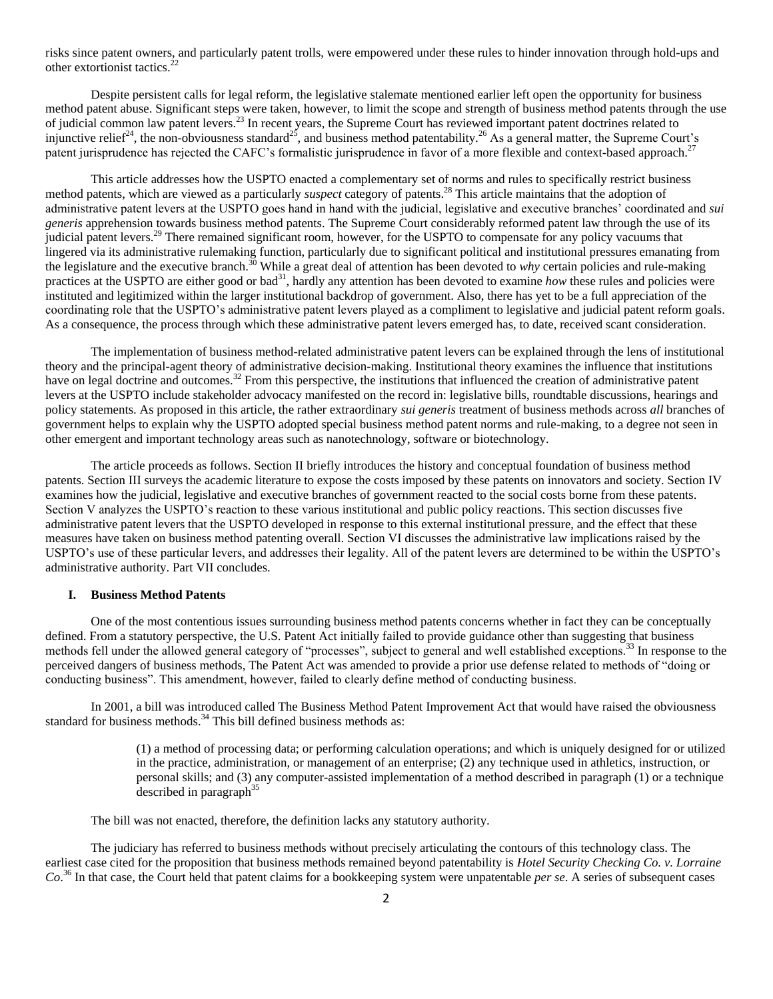risks since patent owners, and particularly patent trolls, were empowered under these rules to hinder innovation through hold-ups and other extortionist tactics.<sup>2</sup>

Despite persistent calls for legal reform, the legislative stalemate mentioned earlier left open the opportunity for business method patent abuse. Significant steps were taken, however, to limit the scope and strength of business method patents through the use of judicial common law patent levers.<sup>23</sup> In recent years, the Supreme Court has reviewed important patent doctrines related to injunctive relief<sup>24</sup>, the non-obviousness standard<sup>25</sup>, and business method patentability.<sup>26</sup> As a general matter, the Supreme Court's patent jurisprudence has rejected the CAFC's formalistic jurisprudence in favor of a more flexible and context-based approach.<sup>27</sup>

This article addresses how the USPTO enacted a complementary set of norms and rules to specifically restrict business method patents, which are viewed as a particularly *suspect* category of patents.<sup>28</sup> This article maintains that the adoption of administrative patent levers at the USPTO goes hand in hand with the judicial, legislative and executive branches" coordinated and *sui generis* apprehension towards business method patents. The Supreme Court considerably reformed patent law through the use of its judicial patent levers.<sup>29</sup> There remained significant room, however, for the USPTO to compensate for any policy vacuums that lingered via its administrative rulemaking function, particularly due to significant political and institutional pressures emanating from the legislature and the executive branch.<sup>30</sup> While a great deal of attention has been devoted to *why* certain policies and rule-making practices at the USPTO are either good or bad<sup>31</sup>, hardly any attention has been devoted to examine *how* these rules and policies were instituted and legitimized within the larger institutional backdrop of government. Also, there has yet to be a full appreciation of the coordinating role that the USPTO"s administrative patent levers played as a compliment to legislative and judicial patent reform goals. As a consequence, the process through which these administrative patent levers emerged has, to date, received scant consideration.

The implementation of business method-related administrative patent levers can be explained through the lens of institutional theory and the principal-agent theory of administrative decision-making. Institutional theory examines the influence that institutions have on legal doctrine and outcomes.<sup>32</sup> From this perspective, the institutions that influenced the creation of administrative patent levers at the USPTO include stakeholder advocacy manifested on the record in: legislative bills, roundtable discussions, hearings and policy statements. As proposed in this article, the rather extraordinary *sui generis* treatment of business methods across *all* branches of government helps to explain why the USPTO adopted special business method patent norms and rule-making, to a degree not seen in other emergent and important technology areas such as nanotechnology, software or biotechnology.

The article proceeds as follows. Section II briefly introduces the history and conceptual foundation of business method patents. Section III surveys the academic literature to expose the costs imposed by these patents on innovators and society. Section IV examines how the judicial, legislative and executive branches of government reacted to the social costs borne from these patents. Section V analyzes the USPTO"s reaction to these various institutional and public policy reactions. This section discusses five administrative patent levers that the USPTO developed in response to this external institutional pressure, and the effect that these measures have taken on business method patenting overall. Section VI discusses the administrative law implications raised by the USPTO"s use of these particular levers, and addresses their legality. All of the patent levers are determined to be within the USPTO"s administrative authority. Part VII concludes.

#### **I. Business Method Patents**

One of the most contentious issues surrounding business method patents concerns whether in fact they can be conceptually defined. From a statutory perspective, the U.S. Patent Act initially failed to provide guidance other than suggesting that business methods fell under the allowed general category of "processes", subject to general and well established exceptions.<sup>33</sup> In response to the perceived dangers of business methods, The Patent Act was amended to provide a prior use defense related to methods of "doing or conducting business". This amendment, however, failed to clearly define method of conducting business.

In 2001, a bill was introduced called The Business Method Patent Improvement Act that would have raised the obviousness standard for business methods. $34$  This bill defined business methods as:

> (1) a method of processing data; or performing calculation operations; and which is uniquely designed for or utilized in the practice, administration, or management of an enterprise; (2) any technique used in athletics, instruction, or personal skills; and (3) any computer-assisted implementation of a method described in paragraph (1) or a technique described in paragraph<sup>35</sup>

The bill was not enacted, therefore, the definition lacks any statutory authority.

The judiciary has referred to business methods without precisely articulating the contours of this technology class. The earliest case cited for the proposition that business methods remained beyond patentability is *Hotel Security Checking Co. v. Lorraine Co*. <sup>36</sup> In that case, the Court held that patent claims for a bookkeeping system were unpatentable *per se*. A series of subsequent cases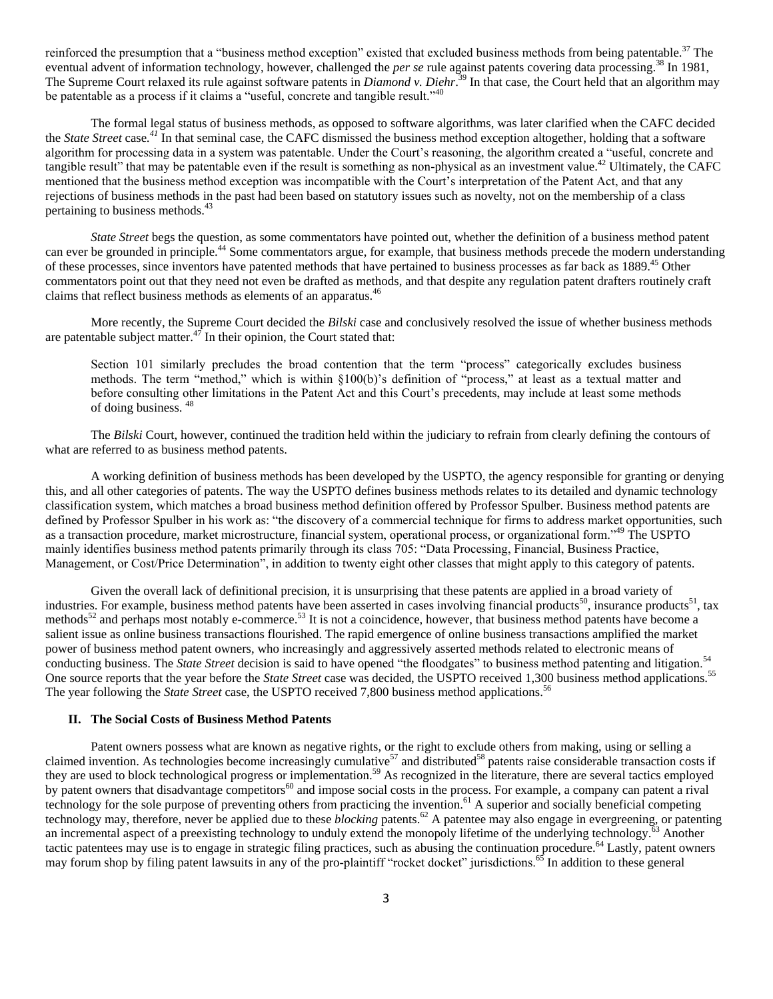reinforced the presumption that a "business method exception" existed that excluded business methods from being patentable.<sup>37</sup> The eventual advent of information technology, however, challenged the *per se* rule against patents covering data processing.<sup>38</sup> In 1981, The Supreme Court relaxed its rule against software patents in *Diamond v. Diehr*. <sup>39</sup> In that case, the Court held that an algorithm may be patentable as a process if it claims a "useful, concrete and tangible result."<sup>40</sup>

The formal legal status of business methods, as opposed to software algorithms, was later clarified when the CAFC decided the *State Street* case*. <sup>41</sup>* In that seminal case, the CAFC dismissed the business method exception altogether, holding that a software algorithm for processing data in a system was patentable. Under the Court's reasoning, the algorithm created a "useful, concrete and tangible result" that may be patentable even if the result is something as non-physical as an investment value.<sup>42</sup> Ultimately, the CAFC mentioned that the business method exception was incompatible with the Court's interpretation of the Patent Act, and that any rejections of business methods in the past had been based on statutory issues such as novelty, not on the membership of a class pertaining to business methods.<sup>43</sup>

*State Street* begs the question, as some commentators have pointed out, whether the definition of a business method patent can ever be grounded in principle.<sup>44</sup> Some commentators argue, for example, that business methods precede the modern understanding of these processes, since inventors have patented methods that have pertained to business processes as far back as 1889.<sup>45</sup> Other commentators point out that they need not even be drafted as methods, and that despite any regulation patent drafters routinely craft claims that reflect business methods as elements of an apparatus.<sup>46</sup>

More recently, the Supreme Court decided the *Bilski* case and conclusively resolved the issue of whether business methods are patentable subject matter. $47$  In their opinion, the Court stated that:

Section 101 similarly precludes the broad contention that the term "process" categorically excludes business methods. The term "method," which is within §100(b)'s definition of "process," at least as a textual matter and before consulting other limitations in the Patent Act and this Court"s precedents, may include at least some methods of doing business. <sup>48</sup>

The *Bilski* Court, however, continued the tradition held within the judiciary to refrain from clearly defining the contours of what are referred to as business method patents.

A working definition of business methods has been developed by the USPTO, the agency responsible for granting or denying this, and all other categories of patents. The way the USPTO defines business methods relates to its detailed and dynamic technology classification system, which matches a broad business method definition offered by Professor Spulber. Business method patents are defined by Professor Spulber in his work as: "the discovery of a commercial technique for firms to address market opportunities, such as a transaction procedure, market microstructure, financial system, operational process, or organizational form."<sup>49</sup> The USPTO mainly identifies business method patents primarily through its class 705: "Data Processing, Financial, Business Practice, Management, or Cost/Price Determination", in addition to twenty eight other classes that might apply to this category of patents.

Given the overall lack of definitional precision, it is unsurprising that these patents are applied in a broad variety of industries. For example, business method patents have been asserted in cases involving financial products<sup>50</sup>, insurance products<sup>51</sup>, tax methods<sup>52</sup> and perhaps most notably e-commerce.<sup>53</sup> It is not a coincidence, however, that business method patents have become a salient issue as online business transactions flourished. The rapid emergence of online business transactions amplified the market power of business method patent owners, who increasingly and aggressively asserted methods related to electronic means of conducting business. The *State Street* decision is said to have opened "the floodgates" to business method patenting and litigation.<sup>54</sup> One source reports that the year before the *State Street* case was decided, the USPTO received 1,300 business method applications.<sup>55</sup> The year following the *State Street* case, the USPTO received 7,800 business method applications.<sup>56</sup>

#### **II. The Social Costs of Business Method Patents**

Patent owners possess what are known as negative rights, or the right to exclude others from making, using or selling a claimed invention. As technologies become increasingly cumulative $57$  and distributed $58$  patents raise considerable transaction costs if they are used to block technological progress or implementation.<sup>59</sup> As recognized in the literature, there are several tactics employed by patent owners that disadvantage competitors<sup>60</sup> and impose social costs in the process. For example, a company can patent a rival technology for the sole purpose of preventing others from practicing the invention.<sup>61</sup> A superior and socially beneficial competing technology may, therefore, never be applied due to these *blocking* patents.<sup>62</sup> A patentee may also engage in evergreening, or patenting an incremental aspect of a preexisting technology to unduly extend the monopoly lifetime of the underlying technology. $\frac{63}{63}$  Another tactic patentees may use is to engage in strategic filing practices, such as abusing the continuation procedure.<sup>64</sup> Lastly, patent owners may forum shop by filing patent lawsuits in any of the pro-plaintiff "rocket docket" jurisdictions.<sup>65</sup> In addition to these general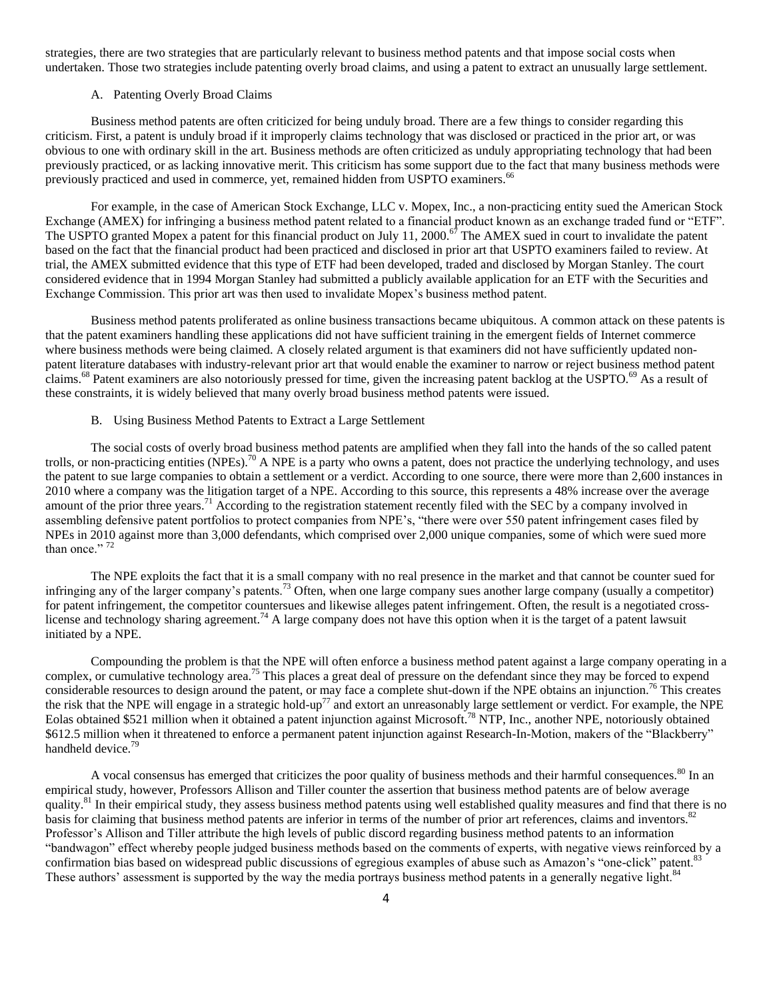strategies, there are two strategies that are particularly relevant to business method patents and that impose social costs when undertaken. Those two strategies include patenting overly broad claims, and using a patent to extract an unusually large settlement.

#### A. Patenting Overly Broad Claims

Business method patents are often criticized for being unduly broad. There are a few things to consider regarding this criticism. First, a patent is unduly broad if it improperly claims technology that was disclosed or practiced in the prior art, or was obvious to one with ordinary skill in the art. Business methods are often criticized as unduly appropriating technology that had been previously practiced, or as lacking innovative merit. This criticism has some support due to the fact that many business methods were previously practiced and used in commerce, yet, remained hidden from USPTO examiners.<sup>66</sup>

For example, in the case of American Stock Exchange, LLC v. Mopex, Inc., a non-practicing entity sued the American Stock Exchange (AMEX) for infringing a business method patent related to a financial product known as an exchange traded fund or "ETF". The USPTO granted Mopex a patent for this financial product on July 11, 2000.<sup>67</sup> The AMEX sued in court to invalidate the patent based on the fact that the financial product had been practiced and disclosed in prior art that USPTO examiners failed to review. At trial, the AMEX submitted evidence that this type of ETF had been developed, traded and disclosed by Morgan Stanley. The court considered evidence that in 1994 Morgan Stanley had submitted a publicly available application for an ETF with the Securities and Exchange Commission. This prior art was then used to invalidate Mopex"s business method patent.

Business method patents proliferated as online business transactions became ubiquitous. A common attack on these patents is that the patent examiners handling these applications did not have sufficient training in the emergent fields of Internet commerce where business methods were being claimed. A closely related argument is that examiners did not have sufficiently updated nonpatent literature databases with industry-relevant prior art that would enable the examiner to narrow or reject business method patent claims.<sup>68</sup> Patent examiners are also notoriously pressed for time, given the increasing patent backlog at the USPTO.<sup>69</sup> As a result of these constraints, it is widely believed that many overly broad business method patents were issued.

### B. Using Business Method Patents to Extract a Large Settlement

The social costs of overly broad business method patents are amplified when they fall into the hands of the so called patent trolls, or non-practicing entities  $(NPEs)$ <sup>70</sup> A NPE is a party who owns a patent, does not practice the underlying technology, and uses the patent to sue large companies to obtain a settlement or a verdict. According to one source, there were more than 2,600 instances in 2010 where a company was the litigation target of a NPE. According to this source, this represents a 48% increase over the average amount of the prior three years.<sup>71</sup> According to the registration statement recently filed with the SEC by a company involved in assembling defensive patent portfolios to protect companies from NPE's, "there were over 550 patent infringement cases filed by NPEs in 2010 against more than 3,000 defendants, which comprised over 2,000 unique companies, some of which were sued more than once." 72

The NPE exploits the fact that it is a small company with no real presence in the market and that cannot be counter sued for infringing any of the larger company's patents.<sup>73</sup> Often, when one large company sues another large company (usually a competitor) for patent infringement, the competitor countersues and likewise alleges patent infringement. Often, the result is a negotiated crosslicense and technology sharing agreement.<sup>74</sup> A large company does not have this option when it is the target of a patent lawsuit initiated by a NPE.

Compounding the problem is that the NPE will often enforce a business method patent against a large company operating in a complex, or cumulative technology area.<sup>75</sup> This places a great deal of pressure on the defendant since they may be forced to expend considerable resources to design around the patent, or may face a complete shut-down if the NPE obtains an injunction.<sup>76</sup> This creates the risk that the NPE will engage in a strategic hold-up<sup>77</sup> and extort an unreasonably large settlement or verdict. For example, the NPE Eolas obtained \$521 million when it obtained a patent injunction against Microsoft.<sup>78</sup> NTP, Inc., another NPE, notoriously obtained \$612.5 million when it threatened to enforce a permanent patent injunction against Research-In-Motion, makers of the "Blackberry" handheld device.<sup>79</sup>

A vocal consensus has emerged that criticizes the poor quality of business methods and their harmful consequences.<sup>80</sup> In an empirical study, however, Professors Allison and Tiller counter the assertion that business method patents are of below average quality.<sup>81</sup> In their empirical study, they assess business method patents using well established quality measures and find that there is no basis for claiming that business method patents are inferior in terms of the number of prior art references, claims and inventors.<sup>82</sup> Professor"s Allison and Tiller attribute the high levels of public discord regarding business method patents to an information "bandwagon" effect whereby people judged business methods based on the comments of experts, with negative views reinforced by a confirmation bias based on widespread public discussions of egregious examples of abuse such as Amazon's "one-click" patent.<sup>8</sup> These authors' assessment is supported by the way the media portrays business method patents in a generally negative light.<sup>84</sup>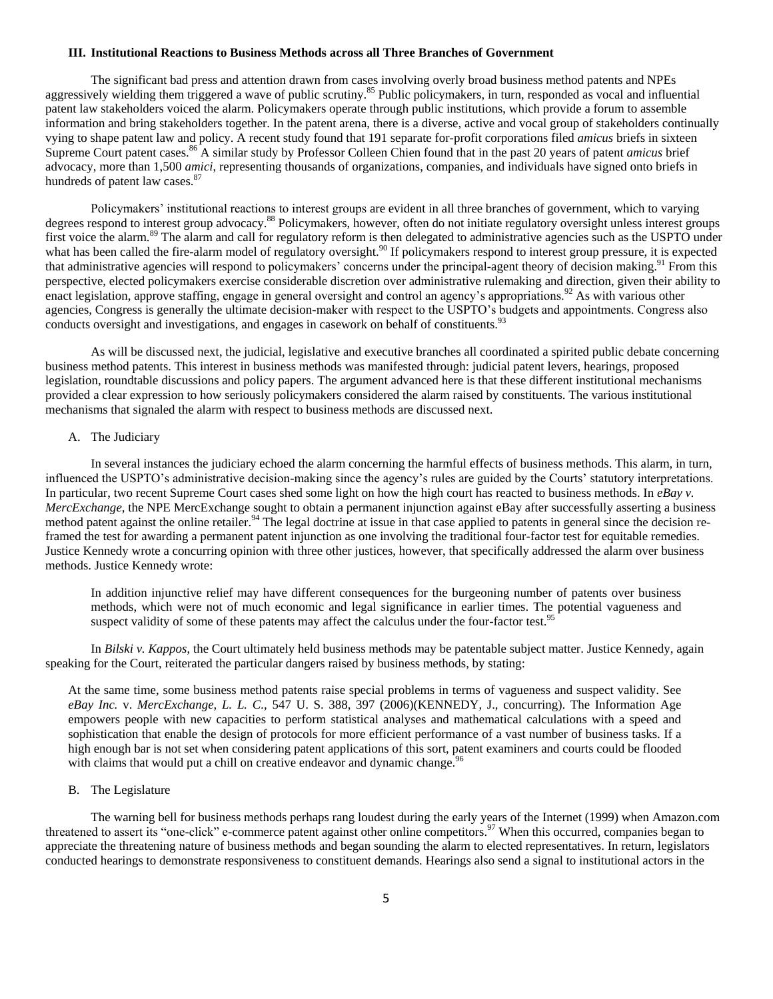#### **III. Institutional Reactions to Business Methods across all Three Branches of Government**

The significant bad press and attention drawn from cases involving overly broad business method patents and NPEs aggressively wielding them triggered a wave of public scrutiny.<sup>85</sup> Public policymakers, in turn, responded as vocal and influential patent law stakeholders voiced the alarm. Policymakers operate through public institutions, which provide a forum to assemble information and bring stakeholders together. In the patent arena, there is a diverse, active and vocal group of stakeholders continually vying to shape patent law and policy. A recent study found that 191 separate for-profit corporations filed *amicus* briefs in sixteen Supreme Court patent cases.<sup>86</sup> A similar study by Professor Colleen Chien found that in the past 20 years of patent *amicus* brief advocacy, more than 1,500 *amici*, representing thousands of organizations, companies, and individuals have signed onto briefs in hundreds of patent law cases.<sup>87</sup>

Policymakers' institutional reactions to interest groups are evident in all three branches of government, which to varying degrees respond to interest group advocacy.<sup>88</sup> Policymakers, however, often do not initiate regulatory oversight unless interest groups first voice the alarm.<sup>89</sup> The alarm and call for regulatory reform is then delegated to administrative agencies such as the USPTO under what has been called the fire-alarm model of regulatory oversight.<sup>90</sup> If policymakers respond to interest group pressure, it is expected that administrative agencies will respond to policymakers' concerns under the principal-agent theory of decision making.<sup>91</sup> From this perspective, elected policymakers exercise considerable discretion over administrative rulemaking and direction, given their ability to enact legislation, approve staffing, engage in general oversight and control an agency's appropriations.<sup>92</sup> As with various other agencies, Congress is generally the ultimate decision-maker with respect to the USPTO"s budgets and appointments. Congress also conducts oversight and investigations, and engages in casework on behalf of constituents.<sup>93</sup>

As will be discussed next, the judicial, legislative and executive branches all coordinated a spirited public debate concerning business method patents. This interest in business methods was manifested through: judicial patent levers, hearings, proposed legislation, roundtable discussions and policy papers. The argument advanced here is that these different institutional mechanisms provided a clear expression to how seriously policymakers considered the alarm raised by constituents. The various institutional mechanisms that signaled the alarm with respect to business methods are discussed next.

### A. The Judiciary

In several instances the judiciary echoed the alarm concerning the harmful effects of business methods. This alarm, in turn, influenced the USPTO"s administrative decision-making since the agency"s rules are guided by the Courts" statutory interpretations. In particular, two recent Supreme Court cases shed some light on how the high court has reacted to business methods. In *eBay v. MercExchange*, the NPE MercExchange sought to obtain a permanent injunction against eBay after successfully asserting a business method patent against the online retailer.<sup>94</sup> The legal doctrine at issue in that case applied to patents in general since the decision reframed the test for awarding a permanent patent injunction as one involving the traditional four-factor test for equitable remedies. Justice Kennedy wrote a concurring opinion with three other justices, however, that specifically addressed the alarm over business methods. Justice Kennedy wrote:

In addition injunctive relief may have different consequences for the burgeoning number of patents over business methods, which were not of much economic and legal significance in earlier times. The potential vagueness and suspect validity of some of these patents may affect the calculus under the four-factor test.<sup>95</sup>

In *Bilski v. Kappos*, the Court ultimately held business methods may be patentable subject matter. Justice Kennedy, again speaking for the Court, reiterated the particular dangers raised by business methods, by stating:

At the same time, some business method patents raise special problems in terms of vagueness and suspect validity. See *eBay Inc.* v. *MercExchange, L. L. C.,* 547 U. S. 388, 397 (2006)(KENNEDY, J., concurring). The Information Age empowers people with new capacities to perform statistical analyses and mathematical calculations with a speed and sophistication that enable the design of protocols for more efficient performance of a vast number of business tasks. If a high enough bar is not set when considering patent applications of this sort, patent examiners and courts could be flooded with claims that would put a chill on creative endeavor and dynamic change.<sup>9</sup>

### B. The Legislature

The warning bell for business methods perhaps rang loudest during the early years of the Internet (1999) when Amazon.com threatened to assert its "one-click" e-commerce patent against other online competitors.<sup>97</sup> When this occurred, companies began to appreciate the threatening nature of business methods and began sounding the alarm to elected representatives. In return, legislators conducted hearings to demonstrate responsiveness to constituent demands. Hearings also send a signal to institutional actors in the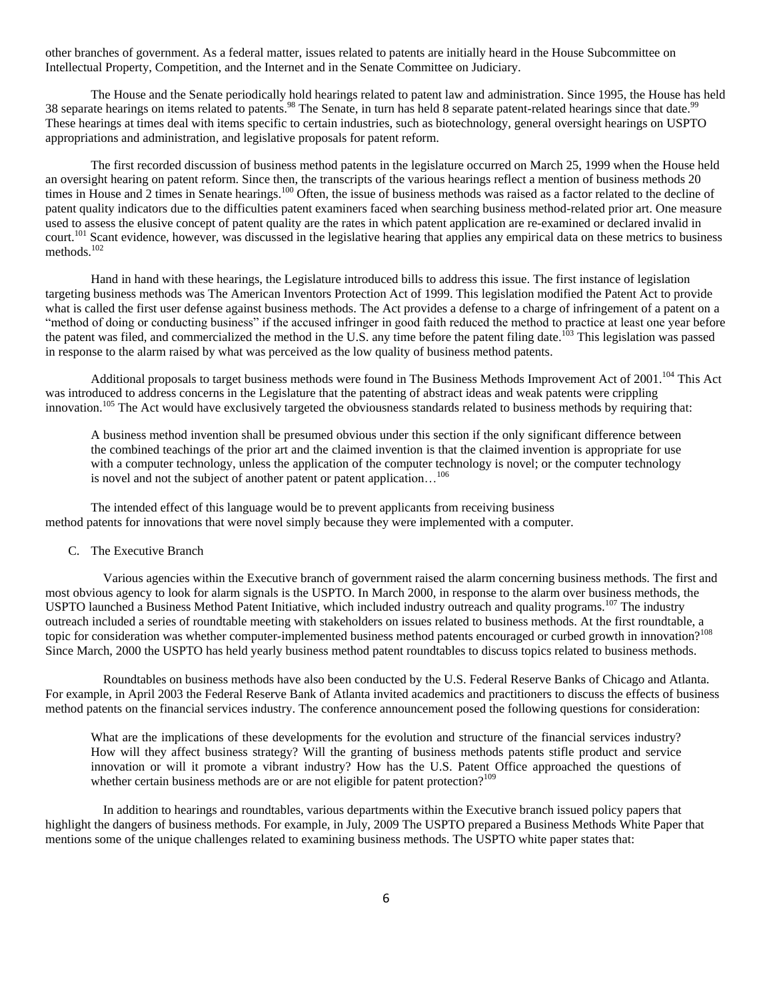other branches of government. As a federal matter, issues related to patents are initially heard in the House Subcommittee on Intellectual Property, Competition, and the Internet and in the Senate Committee on Judiciary.

The House and the Senate periodically hold hearings related to patent law and administration. Since 1995, the House has held 38 separate hearings on items related to patents.<sup>98</sup> The Senate, in turn has held 8 separate patent-related hearings since that date.<sup>99</sup> These hearings at times deal with items specific to certain industries, such as biotechnology, general oversight hearings on USPTO appropriations and administration, and legislative proposals for patent reform.

The first recorded discussion of business method patents in the legislature occurred on March 25, 1999 when the House held an oversight hearing on patent reform. Since then, the transcripts of the various hearings reflect a mention of business methods 20 times in House and 2 times in Senate hearings.<sup>100</sup> Often, the issue of business methods was raised as a factor related to the decline of patent quality indicators due to the difficulties patent examiners faced when searching business method-related prior art. One measure used to assess the elusive concept of patent quality are the rates in which patent application are re-examined or declared invalid in court.<sup>101</sup> Scant evidence, however, was discussed in the legislative hearing that applies any empirical data on these metrics to business methods.<sup>102</sup>

Hand in hand with these hearings, the Legislature introduced bills to address this issue. The first instance of legislation targeting business methods was The American Inventors Protection Act of 1999. This legislation modified the Patent Act to provide what is called the first user defense against business methods. The Act provides a defense to a charge of infringement of a patent on a "method of doing or conducting business" if the accused infringer in good faith reduced the method to practice at least one year before the patent was filed, and commercialized the method in the U.S. any time before the patent filing date.<sup>103</sup> This legislation was passed in response to the alarm raised by what was perceived as the low quality of business method patents.

Additional proposals to target business methods were found in The Business Methods Improvement Act of 2001.<sup>104</sup> This Act was introduced to address concerns in the Legislature that the patenting of abstract ideas and weak patents were crippling innovation.<sup>105</sup> The Act would have exclusively targeted the obviousness standards related to business methods by requiring that:

A business method invention shall be presumed obvious under this section if the only significant difference between the combined teachings of the prior art and the claimed invention is that the claimed invention is appropriate for use with a computer technology, unless the application of the computer technology is novel; or the computer technology is novel and not the subject of another patent or patent application...<sup>106</sup>

The intended effect of this language would be to prevent applicants from receiving business method patents for innovations that were novel simply because they were implemented with a computer.

### C. The Executive Branch

Various agencies within the Executive branch of government raised the alarm concerning business methods. The first and most obvious agency to look for alarm signals is the USPTO. In March 2000, in response to the alarm over business methods, the USPTO launched a Business Method Patent Initiative, which included industry outreach and quality programs.<sup>107</sup> The industry outreach included a series of roundtable meeting with stakeholders on issues related to business methods. At the first roundtable, a topic for consideration was whether computer-implemented business method patents encouraged or curbed growth in innovation?<sup>108</sup> Since March, 2000 the USPTO has held yearly business method patent roundtables to discuss topics related to business methods.

Roundtables on business methods have also been conducted by the U.S. Federal Reserve Banks of Chicago and Atlanta. For example, in April 2003 the Federal Reserve Bank of Atlanta invited academics and practitioners to discuss the effects of business method patents on the financial services industry. The conference announcement posed the following questions for consideration:

What are the implications of these developments for the evolution and structure of the financial services industry? How will they affect business strategy? Will the granting of business methods patents stifle product and service innovation or will it promote a vibrant industry? How has the U.S. Patent Office approached the questions of whether certain business methods are or are not eligible for patent protection?<sup>109</sup>

In addition to hearings and roundtables, various departments within the Executive branch issued policy papers that highlight the dangers of business methods. For example, in July, 2009 The USPTO prepared a Business Methods White Paper that mentions some of the unique challenges related to examining business methods. The USPTO white paper states that: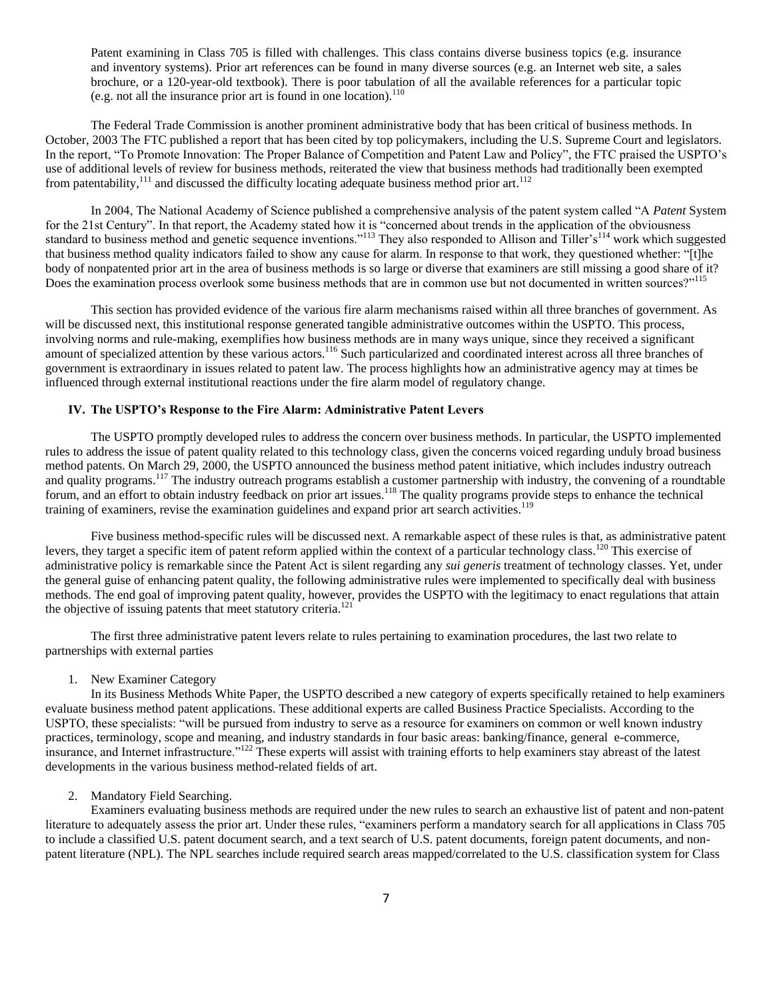Patent examining in Class 705 is filled with challenges. This class contains diverse business topics (e.g. insurance and inventory systems). Prior art references can be found in many diverse sources (e.g. an Internet web site, a sales brochure, or a 120-year-old textbook). There is poor tabulation of all the available references for a particular topic (e.g. not all the insurance prior art is found in one location). $110$ 

The Federal Trade Commission is another prominent administrative body that has been critical of business methods. In October, 2003 The FTC published a report that has been cited by top policymakers, including the U.S. Supreme Court and legislators. In the report, "To Promote Innovation: The Proper Balance of Competition and Patent Law and Policy", the FTC praised the USPTO"s use of additional levels of review for business methods, reiterated the view that business methods had traditionally been exempted from patentability,<sup>111</sup> and discussed the difficulty locating adequate business method prior art.<sup>112</sup>

In 2004, The National Academy of Science published a comprehensive analysis of the patent system called "A *Patent* System for the 21st Century". In that report, the Academy stated how it is "concerned about trends in the application of the obviousness standard to business method and genetic sequence inventions."<sup>113</sup> They also responded to Allison and Tiller's<sup>114</sup> work which suggested that business method quality indicators failed to show any cause for alarm. In response to that work, they questioned whether: "[t]he body of nonpatented prior art in the area of business methods is so large or diverse that examiners are still missing a good share of it? Does the examination process overlook some business methods that are in common use but not documented in written sources?"<sup>115</sup>

This section has provided evidence of the various fire alarm mechanisms raised within all three branches of government. As will be discussed next, this institutional response generated tangible administrative outcomes within the USPTO. This process, involving norms and rule-making, exemplifies how business methods are in many ways unique, since they received a significant amount of specialized attention by these various actors.<sup>116</sup> Such particularized and coordinated interest across all three branches of government is extraordinary in issues related to patent law. The process highlights how an administrative agency may at times be influenced through external institutional reactions under the fire alarm model of regulatory change.

### **IV. The USPTO's Response to the Fire Alarm: Administrative Patent Levers**

The USPTO promptly developed rules to address the concern over business methods. In particular, the USPTO implemented rules to address the issue of patent quality related to this technology class, given the concerns voiced regarding unduly broad business method patents. On March 29, 2000, the USPTO announced the business method patent initiative, which includes industry outreach and quality programs.<sup>117</sup> The industry outreach programs establish a customer partnership with industry, the convening of a roundtable forum, and an effort to obtain industry feedback on prior art issues.<sup>118</sup> The quality programs provide steps to enhance the technical training of examiners, revise the examination guidelines and expand prior art search activities.<sup>119</sup>

Five business method-specific rules will be discussed next. A remarkable aspect of these rules is that, as administrative patent levers, they target a specific item of patent reform applied within the context of a particular technology class.<sup>120</sup> This exercise of administrative policy is remarkable since the Patent Act is silent regarding any *sui generis* treatment of technology classes. Yet, under the general guise of enhancing patent quality, the following administrative rules were implemented to specifically deal with business methods. The end goal of improving patent quality, however, provides the USPTO with the legitimacy to enact regulations that attain the objective of issuing patents that meet statutory criteria.<sup>121</sup>

The first three administrative patent levers relate to rules pertaining to examination procedures, the last two relate to partnerships with external parties

1. New Examiner Category

In its Business Methods White Paper, the USPTO described a new category of experts specifically retained to help examiners evaluate business method patent applications. These additional experts are called Business Practice Specialists. According to the USPTO, these specialists: "will be pursued from industry to serve as a resource for examiners on common or well known industry practices, terminology, scope and meaning, and industry standards in four basic areas: banking/finance, general e-commerce, insurance, and Internet infrastructure."<sup>122</sup> These experts will assist with training efforts to help examiners stay abreast of the latest developments in the various business method-related fields of art.

#### 2. Mandatory Field Searching.

Examiners evaluating business methods are required under the new rules to search an exhaustive list of patent and non-patent literature to adequately assess the prior art. Under these rules, "examiners perform a mandatory search for all applications in Class 705 to include a classified U.S. patent document search, and a text search of U.S. patent documents, foreign patent documents, and nonpatent literature (NPL). The NPL searches include required search areas mapped/correlated to the U.S. classification system for Class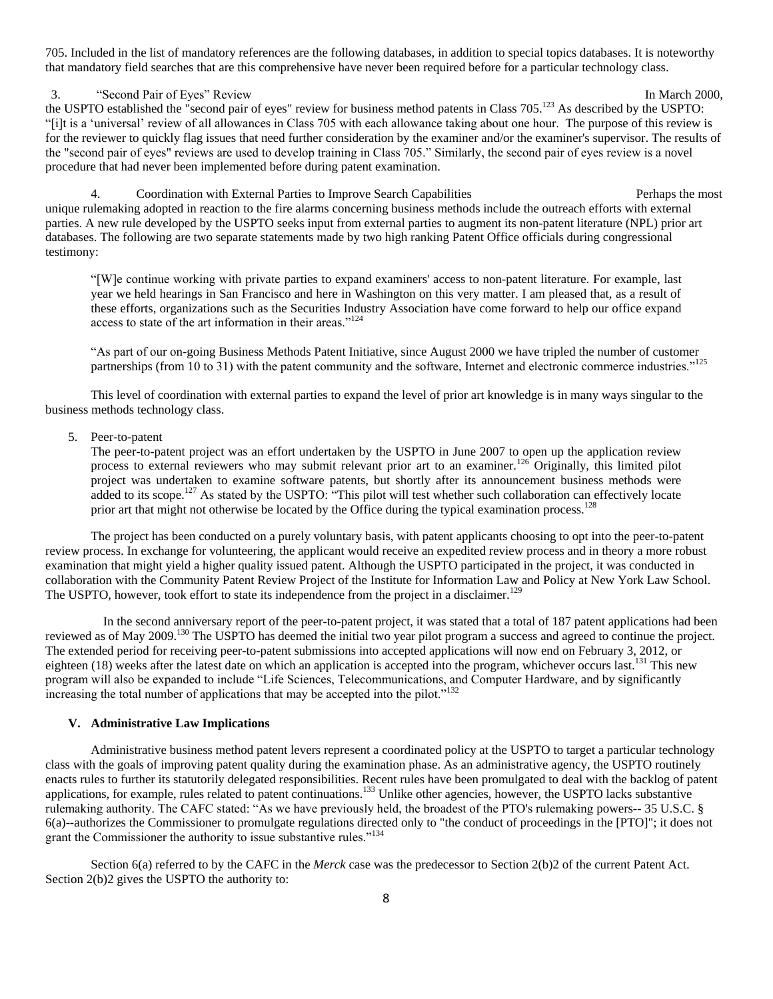705. Included in the list of mandatory references are the following databases, in addition to special topics databases. It is noteworthy that mandatory field searches that are this comprehensive have never been required before for a particular technology class.

3. "Second Pair of Eyes" Review In March 2000,

the USPTO established the "second pair of eyes" review for business method patents in Class 705.<sup>123</sup> As described by the USPTO: "[i]t is a "universal" review of all allowances in Class 705 with each allowance taking about one hour. The purpose of this review is for the reviewer to quickly flag issues that need further consideration by the examiner and/or the examiner's supervisor. The results of the "second pair of eyes" reviews are used to develop training in Class 705." Similarly, the second pair of eyes review is a novel procedure that had never been implemented before during patent examination.

4. Coordination with External Parties to Improve Search Capabilities **Perhaps the most** Perhaps the most unique rulemaking adopted in reaction to the fire alarms concerning business methods include the outreach efforts with external parties. A new rule developed by the USPTO seeks input from external parties to augment its non-patent literature (NPL) prior art databases. The following are two separate statements made by two high ranking Patent Office officials during congressional testimony:

"[W]e continue working with private parties to expand examiners' access to non-patent literature. For example, last year we held hearings in San Francisco and here in Washington on this very matter. I am pleased that, as a result of these efforts, organizations such as the Securities Industry Association have come forward to help our office expand access to state of the art information in their areas."<sup>124</sup>

"As part of our on-going Business Methods Patent Initiative, since August 2000 we have tripled the number of customer partnerships (from 10 to 31) with the patent community and the software, Internet and electronic commerce industries."<sup>125</sup>

This level of coordination with external parties to expand the level of prior art knowledge is in many ways singular to the business methods technology class.

# 5. Peer-to-patent

The peer-to-patent project was an effort undertaken by the USPTO in June 2007 to open up the application review process to external reviewers who may submit relevant prior art to an examiner.<sup>126</sup> Originally, this limited pilot project was undertaken to examine software patents, but shortly after its announcement business methods were added to its scope.<sup>127</sup> As stated by the USPTO: "This pilot will test whether such collaboration can effectively locate prior art that might not otherwise be located by the Office during the typical examination process.<sup>128</sup>

The project has been conducted on a purely voluntary basis, with patent applicants choosing to opt into the peer-to-patent review process. In exchange for volunteering, the applicant would receive an expedited review process and in theory a more robust examination that might yield a higher quality issued patent. Although the USPTO participated in the project, it was conducted in collaboration with the Community Patent Review Project of the Institute for Information Law and Policy at New York Law School. The USPTO, however, took effort to state its independence from the project in a disclaimer.<sup>129</sup>

In the second anniversary report of the peer-to-patent project, it was stated that a total of 187 patent applications had been reviewed as of May 2009.<sup>130</sup> The USPTO has deemed the initial two year pilot program a success and agreed to continue the project. The extended period for receiving peer-to-patent submissions into accepted applications will now end on February 3, 2012, or eighteen  $(18)$  weeks after the latest date on which an application is accepted into the program, whichever occurs last.<sup>131</sup> This new program will also be expanded to include "Life Sciences, Telecommunications, and Computer Hardware, and by significantly increasing the total number of applications that may be accepted into the pilot."<sup>132</sup>

## **V. Administrative Law Implications**

Administrative business method patent levers represent a coordinated policy at the USPTO to target a particular technology class with the goals of improving patent quality during the examination phase. As an administrative agency, the USPTO routinely enacts rules to further its statutorily delegated responsibilities. Recent rules have been promulgated to deal with the backlog of patent applications, for example, rules related to patent continuations.<sup>133</sup> Unlike other agencies, however, the USPTO lacks substantive rulemaking authority. The CAFC stated: "As we have previously held, the broadest of the PTO's rulemaking powers-- 35 U.S.C. § 6(a)--authorizes the Commissioner to promulgate regulations directed only to "the conduct of proceedings in the [PTO]"; it does not grant the Commissioner the authority to issue substantive rules."<sup>134</sup>

Section 6(a) referred to by the CAFC in the *Merck* case was the predecessor to Section 2(b)2 of the current Patent Act. Section 2(b)2 gives the USPTO the authority to: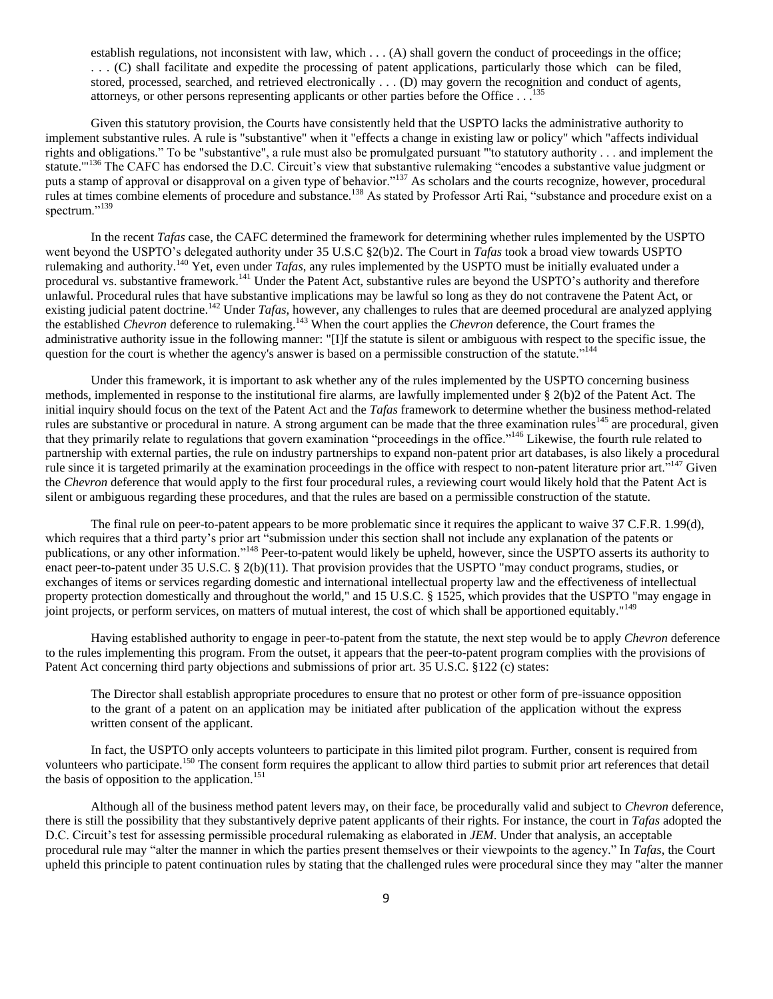establish regulations, not inconsistent with law, which . . . (A) shall govern the conduct of proceedings in the office; . . . (C) shall facilitate and expedite the processing of patent applications, particularly those which can be filed, stored, processed, searched, and retrieved electronically . . . (D) may govern the recognition and conduct of agents, attorneys, or other persons representing applicants or other parties before the Office . . .<sup>1</sup>

Given this statutory provision, the Courts have consistently held that the USPTO lacks the administrative authority to implement substantive rules. A rule is "substantive" when it "effects a change in existing law or policy" which "affects individual rights and obligations." To be "substantive", a rule must also be promulgated pursuant "'to statutory authority . . . and implement the statute."<sup>136</sup> The CAFC has endorsed the D.C. Circuit's view that substantive rulemaking "encodes a substantive value judgment or puts a stamp of approval or disapproval on a given type of behavior."<sup>137</sup> As scholars and the courts recognize, however, procedural rules at times combine elements of procedure and substance.<sup>138</sup> As stated by Professor Arti Rai, "substance and procedure exist on a spectrum."<sup>139</sup>

In the recent *Tafas* case, the CAFC determined the framework for determining whether rules implemented by the USPTO went beyond the USPTO"s delegated authority under 35 U.S.C §2(b)2. The Court in *Tafas* took a broad view towards USPTO rulemaking and authority.<sup>140</sup> Yet, even under *Tafas*, any rules implemented by the USPTO must be initially evaluated under a procedural vs. substantive framework.<sup>141</sup> Under the Patent Act, substantive rules are beyond the USPTO's authority and therefore unlawful. Procedural rules that have substantive implications may be lawful so long as they do not contravene the Patent Act, or existing judicial patent doctrine.<sup>142</sup> Under *Tafas*, however, any challenges to rules that are deemed procedural are analyzed applying the established *Chevron* deference to rulemaking.<sup>143</sup> When the court applies the *Chevron* deference, the Court frames the administrative authority issue in the following manner: "[I]f the statute is silent or ambiguous with respect to the specific issue, the question for the court is whether the agency's answer is based on a permissible construction of the statute."<sup>144</sup>

Under this framework, it is important to ask whether any of the rules implemented by the USPTO concerning business methods, implemented in response to the institutional fire alarms, are lawfully implemented under § 2(b)2 of the Patent Act. The initial inquiry should focus on the text of the Patent Act and the *Tafas* framework to determine whether the business method-related rules are substantive or procedural in nature. A strong argument can be made that the three examination rules<sup>145</sup> are procedural, given that they primarily relate to regulations that govern examination "proceedings in the office."<sup>146</sup> Likewise, the fourth rule related to partnership with external parties, the rule on industry partnerships to expand non-patent prior art databases, is also likely a procedural rule since it is targeted primarily at the examination proceedings in the office with respect to non-patent literature prior art."<sup>147</sup> Given the *Chevron* deference that would apply to the first four procedural rules, a reviewing court would likely hold that the Patent Act is silent or ambiguous regarding these procedures, and that the rules are based on a permissible construction of the statute.

The final rule on peer-to-patent appears to be more problematic since it requires the applicant to waive 37 C.F.R. 1.99(d), which requires that a third party's prior art "submission under this section shall not include any explanation of the patents or publications, or any other information."<sup>148</sup> Peer-to-patent would likely be upheld, however, since the USPTO asserts its authority to enact peer-to-patent under 35 U.S.C. § 2(b)(11). That provision provides that the USPTO "may conduct programs, studies, or exchanges of items or services regarding domestic and international intellectual property law and the effectiveness of intellectual property protection domestically and throughout the world," and 15 U.S.C. § 1525, which provides that the USPTO "may engage in joint projects, or perform services, on matters of mutual interest, the cost of which shall be apportioned equitably."<sup>149</sup>

Having established authority to engage in peer-to-patent from the statute, the next step would be to apply *Chevron* deference to the rules implementing this program. From the outset, it appears that the peer-to-patent program complies with the provisions of Patent Act concerning third party objections and submissions of prior art. 35 U.S.C. §122 (c) states:

The Director shall establish appropriate procedures to ensure that no protest or other form of pre-issuance opposition to the grant of a patent on an application may be initiated after publication of the application without the express written consent of the applicant.

In fact, the USPTO only accepts volunteers to participate in this limited pilot program. Further, consent is required from volunteers who participate.<sup>150</sup> The consent form requires the applicant to allow third parties to submit prior art references that detail the basis of opposition to the application.<sup>151</sup>

Although all of the business method patent levers may, on their face, be procedurally valid and subject to *Chevron* deference, there is still the possibility that they substantively deprive patent applicants of their rights. For instance, the court in *Tafas* adopted the D.C. Circuit's test for assessing permissible procedural rulemaking as elaborated in *JEM*. Under that analysis, an acceptable procedural rule may "alter the manner in which the parties present themselves or their viewpoints to the agency." In *Tafas*, the Court upheld this principle to patent continuation rules by stating that the challenged rules were procedural since they may "alter the manner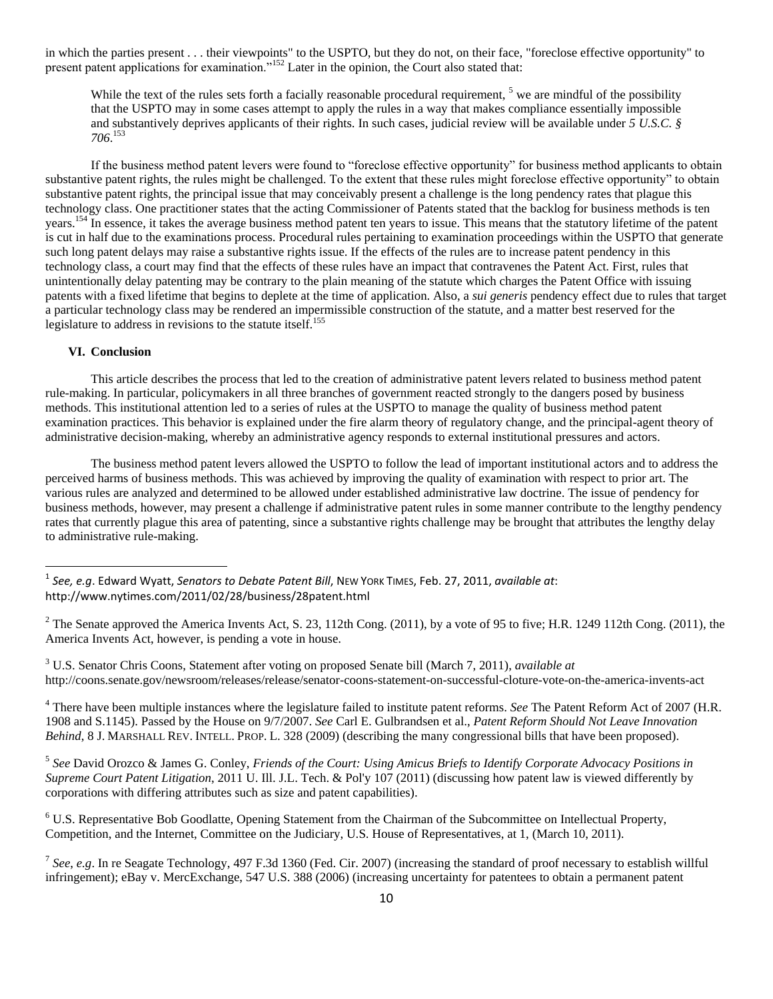in which the parties present . . . their viewpoints" to the USPTO, but they do not, on their face, "foreclose effective opportunity" to present patent applications for examination."<sup>152</sup> Later in the opinion, the Court also stated that:

While the text of the rules sets forth a facially reasonable procedural requirement,  $<sup>5</sup>$  we are mindful of the possibility</sup> that the USPTO may in some cases attempt to apply the rules in a way that makes compliance essentially impossible and substantively deprives applicants of their rights. In such cases, judicial review will be available under *5 U.S.C. § 706*. 153

If the business method patent levers were found to "foreclose effective opportunity" for business method applicants to obtain substantive patent rights, the rules might be challenged. To the extent that these rules might foreclose effective opportunity" to obtain substantive patent rights, the principal issue that may conceivably present a challenge is the long pendency rates that plague this technology class. One practitioner states that the acting Commissioner of Patents stated that the backlog for business methods is ten years.<sup>154</sup> In essence, it takes the average business method patent ten years to issue. This means that the statutory lifetime of the patent is cut in half due to the examinations process. Procedural rules pertaining to examination proceedings within the USPTO that generate such long patent delays may raise a substantive rights issue. If the effects of the rules are to increase patent pendency in this technology class, a court may find that the effects of these rules have an impact that contravenes the Patent Act. First, rules that unintentionally delay patenting may be contrary to the plain meaning of the statute which charges the Patent Office with issuing patents with a fixed lifetime that begins to deplete at the time of application. Also, a *sui generis* pendency effect due to rules that target a particular technology class may be rendered an impermissible construction of the statute, and a matter best reserved for the legislature to address in revisions to the statute itself.<sup>155</sup>

#### **VI. Conclusion**

l

This article describes the process that led to the creation of administrative patent levers related to business method patent rule-making. In particular, policymakers in all three branches of government reacted strongly to the dangers posed by business methods. This institutional attention led to a series of rules at the USPTO to manage the quality of business method patent examination practices. This behavior is explained under the fire alarm theory of regulatory change, and the principal-agent theory of administrative decision-making, whereby an administrative agency responds to external institutional pressures and actors.

The business method patent levers allowed the USPTO to follow the lead of important institutional actors and to address the perceived harms of business methods. This was achieved by improving the quality of examination with respect to prior art. The various rules are analyzed and determined to be allowed under established administrative law doctrine. The issue of pendency for business methods, however, may present a challenge if administrative patent rules in some manner contribute to the lengthy pendency rates that currently plague this area of patenting, since a substantive rights challenge may be brought that attributes the lengthy delay to administrative rule-making.

<sup>4</sup> There have been multiple instances where the legislature failed to institute patent reforms. *See* The Patent Reform Act of 2007 (H.R. 1908 and S.1145). Passed by the House on 9/7/2007. *See* Carl E. Gulbrandsen et al., *Patent Reform Should Not Leave Innovation Behind*, 8 J. MARSHALL REV. INTELL. PROP. L. 328 (2009) (describing the many congressional bills that have been proposed).

5 *See* David Orozco & James G. Conley, *Friends of the Court: Using Amicus Briefs to Identify Corporate Advocacy Positions in Supreme Court Patent Litigation*, 2011 U. Ill. J.L. Tech. & Pol'y 107 (2011) (discussing how patent law is viewed differently by corporations with differing attributes such as size and patent capabilities).

<sup>6</sup> U.S. Representative Bob Goodlatte, Opening Statement from the Chairman of the Subcommittee on Intellectual Property, Competition, and the Internet, Committee on the Judiciary, U.S. House of Representatives, at 1, (March 10, 2011).

<sup>1</sup> *See, e.g*. Edward Wyatt, *Senators to Debate Patent Bill*, NEW YORK TIMES, Feb. 27, 2011, *available at*: http://www.nytimes.com/2011/02/28/business/28patent.html

 $2$  The Senate approved the America Invents Act, S. 23, 112th Cong. (2011), by a vote of 95 to five; H.R. 1249 112th Cong. (2011), the America Invents Act, however, is pending a vote in house.

<sup>3</sup> U.S. Senator Chris Coons, Statement after voting on proposed Senate bill (March 7, 2011), *available at* http://coons.senate.gov/newsroom/releases/release/senator-coons-statement-on-successful-cloture-vote-on-the-america-invents-act

<sup>7</sup> *See*, *e.g*. In re Seagate Technology, 497 F.3d 1360 (Fed. Cir. 2007) (increasing the standard of proof necessary to establish willful infringement); eBay v. MercExchange, 547 U.S. 388 (2006) (increasing uncertainty for patentees to obtain a permanent patent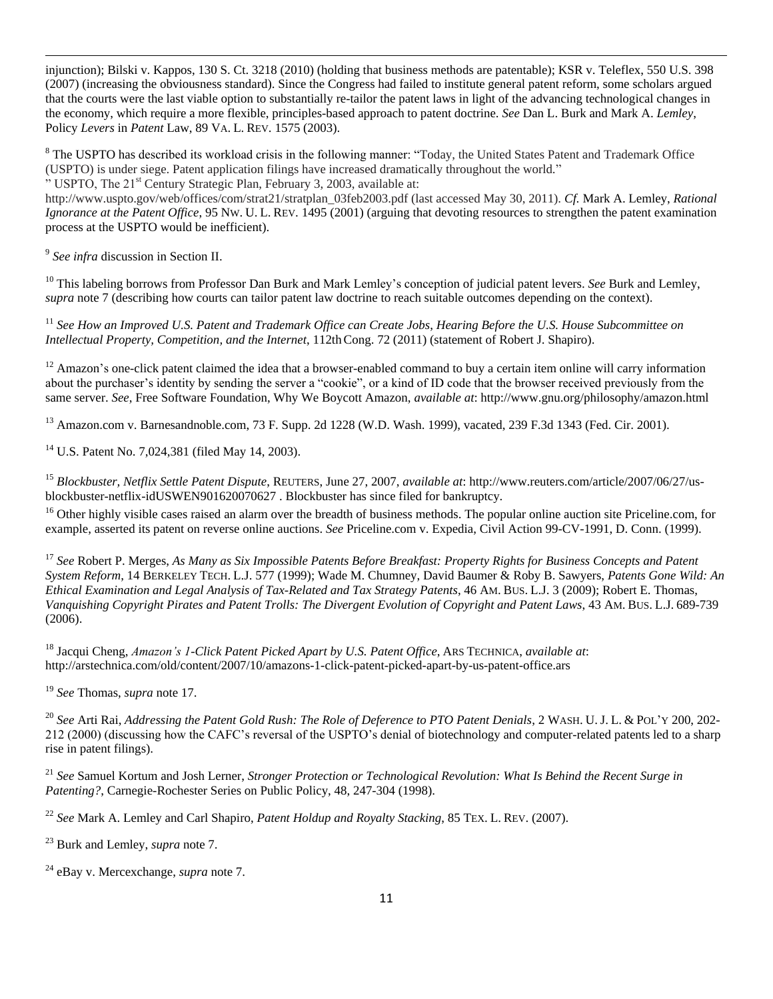injunction); Bilski v. Kappos, 130 S. Ct. 3218 (2010) (holding that business methods are patentable); KSR v. Teleflex, 550 U.S. 398 (2007) (increasing the obviousness standard). Since the Congress had failed to institute general patent reform, some scholars argued that the courts were the last viable option to substantially re-tailor the patent laws in light of the advancing technological changes in the economy, which require a more flexible, principles-based approach to patent doctrine. *See* Dan L. Burk and Mark A. *Lemley*, Policy *Levers* in *Patent* Law, 89 VA. L. REV. 1575 (2003).

<sup>8</sup> The USPTO has described its workload crisis in the following manner: "Today, the United States Patent and Trademark Office (USPTO) is under siege. Patent application filings have increased dramatically throughout the world."

" USPTO, The 21st Century Strategic Plan, February 3, 2003, available at:

http://www.uspto.gov/web/offices/com/strat21/stratplan\_03feb2003.pdf (last accessed May 30, 2011). *Cf.* Mark A. Lemley, *Rational Ignorance at the Patent Office*, 95 NW. U. L. REV. 1495 (2001) (arguing that devoting resources to strengthen the patent examination process at the USPTO would be inefficient).

9 *See infra* discussion in Section II.

 $\overline{a}$ 

<sup>10</sup> This labeling borrows from Professor Dan Burk and Mark Lemley's conception of judicial patent levers. *See* Burk and Lemley, *supra* note 7 (describing how courts can tailor patent law doctrine to reach suitable outcomes depending on the context).

<sup>11</sup> *See How an Improved U.S. Patent and Trademark Office can Create Jobs*, *Hearing Before the U.S. House Subcommittee on Intellectual Property, Competition, and the Internet*, 112th Cong. 72 (2011) (statement of Robert J. Shapiro).

 $12$  Amazon's one-click patent claimed the idea that a browser-enabled command to buy a certain item online will carry information about the purchaser"s identity by sending the server a "cookie", or a kind of ID code that the browser received previously from the same server. *See*, Free Software Foundation, Why We Boycott Amazon, *available at*: http://www.gnu.org/philosophy/amazon.html

<sup>13</sup> Amazon.com v. Barnesandnoble.com, 73 F. Supp. 2d 1228 (W.D. Wash. 1999), vacated, 239 F.3d 1343 (Fed. Cir. 2001).

<sup>14</sup> U.S. Patent No. 7,024,381 (filed May 14, 2003).

<sup>15</sup> *Blockbuster, Netflix Settle Patent Dispute*, REUTERS, June 27, 2007, *available at*: http://www.reuters.com/article/2007/06/27/usblockbuster-netflix-idUSWEN901620070627 . Blockbuster has since filed for bankruptcy.

<sup>16</sup> Other highly visible cases raised an alarm over the breadth of business methods. The popular online auction site Priceline.com, for example, asserted its patent on reverse online auctions. *See* Priceline.com v. Expedia, Civil Action 99-CV-1991, D. Conn. (1999).

<sup>17</sup> *See* Robert P. Merges, *As Many as Six Impossible Patents Before Breakfast: Property Rights for Business Concepts and Patent System Reform*, 14 BERKELEY TECH. L.J. 577 (1999); Wade M. Chumney, David Baumer & Roby B. Sawyers, *Patents Gone Wild: An Ethical Examination and Legal Analysis of Tax-Related and Tax Strategy Patents*, 46 AM. BUS. L.J. 3 (2009); Robert E. Thomas, *Vanquishing Copyright Pirates and Patent Trolls: The Divergent Evolution of Copyright and Patent Laws*, 43 AM. BUS. L.J. 689-739 (2006).

<sup>18</sup> Jacqui Cheng, *Amazon's 1-Click Patent Picked Apart by U.S. Patent Office*, ARS TECHNICA, *available at*: http://arstechnica.com/old/content/2007/10/amazons-1-click-patent-picked-apart-by-us-patent-office.ars

<sup>19</sup> *See* Thomas, *supra* note 17.

<sup>20</sup> See Arti Rai, *Addressing the Patent Gold Rush: The Role of Deference to PTO Patent Denials*, 2 WASH. U. J. L. & POL'Y 200, 202-212 (2000) (discussing how the CAFC"s reversal of the USPTO"s denial of biotechnology and computer-related patents led to a sharp rise in patent filings).

<sup>21</sup> *See* Samuel Kortum and Josh Lerner, *Stronger Protection or Technological Revolution: What Is Behind the Recent Surge in Patenting?*, Carnegie-Rochester Series on Public Policy, 48, 247-304 (1998).

<sup>22</sup> *See* Mark A. Lemley and Carl Shapiro, *Patent Holdup and Royalty Stacking*, 85 TEX. L. REV. (2007).

<sup>23</sup> Burk and Lemley, *supra* note 7.

<sup>24</sup> eBay v. Mercexchange, *supra* note 7.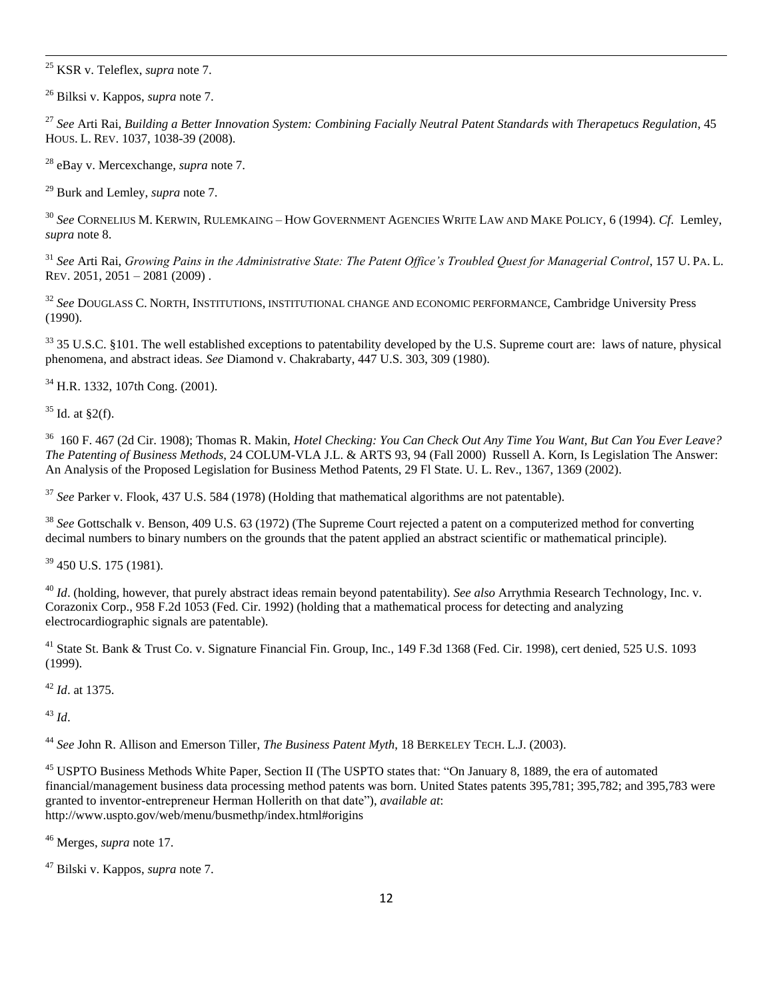$\overline{a}$ <sup>25</sup> KSR v. Teleflex, *supra* note 7.

<sup>26</sup> Bilksi v. Kappos, *supra* note 7.

<sup>27</sup> *See* Arti Rai, *Building a Better Innovation System: Combining Facially Neutral Patent Standards with Therapetucs Regulation*, 45 HOUS. L. REV. 1037, 1038-39 (2008).

<sup>28</sup> eBay v. Mercexchange, *supra* note 7.

<sup>29</sup> Burk and Lemley, *supra* note 7.

<sup>30</sup> *See* CORNELIUS M. KERWIN, RULEMKAING – HOW GOVERNMENT AGENCIES WRITE LAW AND MAKE POLICY, 6 (1994). *Cf*. Lemley, *supra* note 8.

<sup>31</sup> *See* Arti Rai, *Growing Pains in the Administrative State: The Patent Office's Troubled Quest for Managerial Control*, 157 U. PA. L. REV. 2051, 2051 – 2081 (2009) .

<sup>32</sup> *See* DOUGLASS C. NORTH, INSTITUTIONS, INSTITUTIONAL CHANGE AND ECONOMIC PERFORMANCE, Cambridge University Press (1990).

<sup>33</sup> 35 U.S.C. §101. The well established exceptions to patentability developed by the U.S. Supreme court are: laws of nature, physical phenomena, and abstract ideas. *See* Diamond v. Chakrabarty, 447 U.S. 303, 309 (1980).

<sup>34</sup> H.R. 1332, 107th Cong. (2001).

 $35$  Id. at §2(f).

36 160 F. 467 (2d Cir. 1908); Thomas R. Makin, *Hotel Checking: You Can Check Out Any Time You Want, But Can You Ever Leave? The Patenting of Business Methods*, 24 COLUM-VLA J.L. & ARTS 93, 94 (Fall 2000) Russell A. Korn, Is Legislation The Answer: An Analysis of the Proposed Legislation for Business Method Patents, 29 Fl State. U. L. Rev., 1367, 1369 (2002).

<sup>37</sup> *See* Parker v. Flook, 437 U.S. 584 (1978) (Holding that mathematical algorithms are not patentable).

<sup>38</sup> *See* Gottschalk v. Benson, 409 U.S. 63 (1972) (The Supreme Court rejected a patent on a computerized method for converting decimal numbers to binary numbers on the grounds that the patent applied an abstract scientific or mathematical principle).

<sup>39</sup> 450 U.S. 175 (1981).

<sup>40</sup> *Id*. (holding, however, that purely abstract ideas remain beyond patentability). *See also* Arrythmia Research Technology, Inc. v. Corazonix Corp., 958 F.2d 1053 (Fed. Cir. 1992) (holding that a mathematical process for detecting and analyzing electrocardiographic signals are patentable).

<sup>41</sup> State St. Bank & Trust Co. v. Signature Financial Fin. Group, Inc., 149 F.3d 1368 (Fed. Cir. 1998), cert denied, 525 U.S. 1093 (1999).

<sup>42</sup> *Id*. at 1375.

<sup>43</sup> *Id*.

<sup>44</sup> *See* John R. Allison and Emerson Tiller, *The Business Patent Myth*, 18 BERKELEY TECH. L.J. (2003).

<sup>45</sup> USPTO Business Methods White Paper, Section II (The USPTO states that: "On January 8, 1889, the era of automated financial/management business data processing method patents was born. United States patents 395,781; 395,782; and 395,783 were granted to inventor-entrepreneur Herman Hollerith on that date"), *available at*: http://www.uspto.gov/web/menu/busmethp/index.html#origins

<sup>46</sup> Merges, *supra* note 17.

<sup>47</sup> Bilski v. Kappos, *supra* note 7.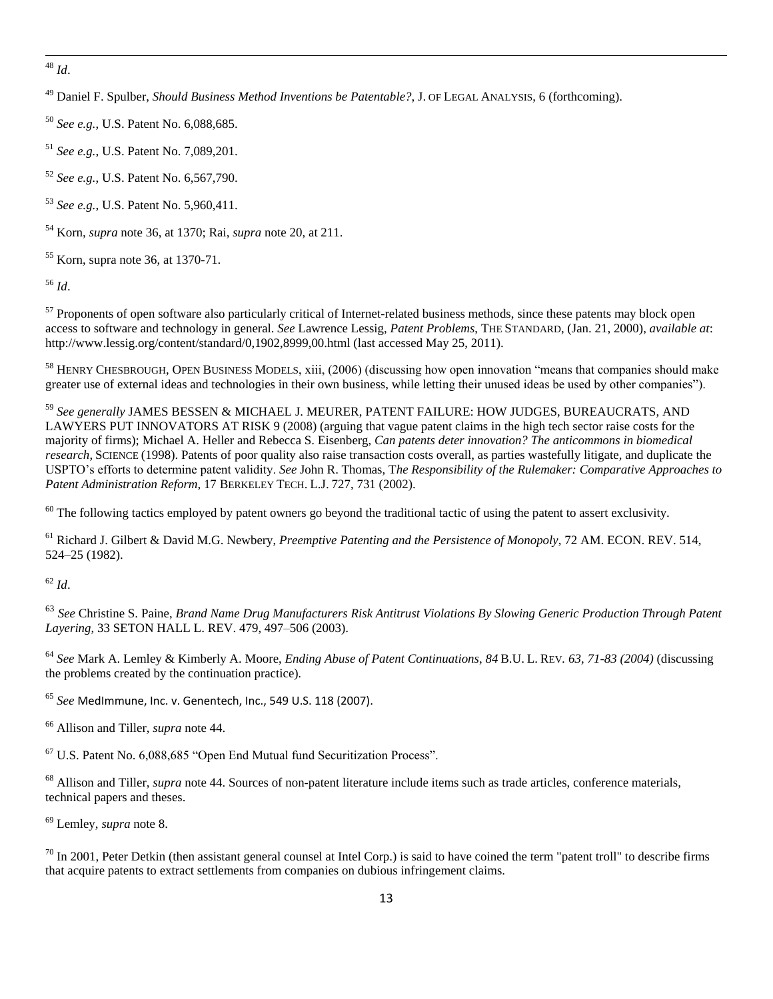$\overline{a}$ <sup>48</sup> *Id*.

<sup>49</sup> Daniel F. Spulber, *Should Business Method Inventions be Patentable?*, J. OF LEGAL ANALYSIS, 6 (forthcoming).

<sup>50</sup> *See e.g.*, U.S. Patent No. 6,088,685.

<sup>51</sup> *See e.g.*, U.S. Patent No. 7,089,201.

<sup>52</sup> *See e.g.*, U.S. Patent No. 6,567,790.

<sup>53</sup> *See e.g.*, U.S. Patent No. 5,960,411.

<sup>54</sup> Korn, *supra* note 36, at 1370; Rai, *supra* note 20, at 211.

 $55$  Korn, supra note 36, at 1370-71.

<sup>56</sup> *Id*.

<sup>57</sup> Proponents of open software also particularly critical of Internet-related business methods, since these patents may block open access to software and technology in general. *See* Lawrence Lessig, *Patent Problems*, THE STANDARD, (Jan. 21, 2000), *available at*: http://www.lessig.org/content/standard/0,1902,8999,00.html (last accessed May 25, 2011).

<sup>58</sup> HENRY CHESBROUGH, OPEN BUSINESS MODELS, xiii, (2006) (discussing how open innovation "means that companies should make greater use of external ideas and technologies in their own business, while letting their unused ideas be used by other companies").

<sup>59</sup> *See generally* JAMES BESSEN & MICHAEL J. MEURER, PATENT FAILURE: HOW JUDGES, BUREAUCRATS, AND LAWYERS PUT INNOVATORS AT RISK 9 (2008) (arguing that vague patent claims in the high tech sector raise costs for the majority of firms); Michael A. Heller and Rebecca S. Eisenberg, *Can patents deter innovation? The anticommons in biomedical research*, SCIENCE (1998). Patents of poor quality also raise transaction costs overall, as parties wastefully litigate, and duplicate the USPTO"s efforts to determine patent validity. *See* John R. Thomas, T*he Responsibility of the Rulemaker: Comparative Approaches to Patent Administration Reform*, 17 BERKELEY TECH. L.J. 727, 731 (2002).

 $60$  The following tactics employed by patent owners go beyond the traditional tactic of using the patent to assert exclusivity.

<sup>61</sup> Richard J. Gilbert & David M.G. Newbery, *Preemptive Patenting and the Persistence of Monopoly*, 72 AM. ECON. REV. 514, 524–25 (1982).

<sup>62</sup> *Id*.

<sup>63</sup> *See* Christine S. Paine, *Brand Name Drug Manufacturers Risk Antitrust Violations By Slowing Generic Production Through Patent Layering*, 33 SETON HALL L. REV. 479, 497–506 (2003).

<sup>64</sup> *See* Mark A. Lemley & Kimberly A. Moore, *Ending Abuse of Patent Continuations*, *84* B.U. L. REV*. 63, 71-83 (2004)* (discussing the problems created by the continuation practice)*.*

<sup>65</sup> *See* MedImmune, Inc. v. Genentech, Inc., 549 U.S. 118 (2007).

<sup>66</sup> Allison and Tiller, *supra* note 44.

 $67$  U.S. Patent No.  $6,088,685$  "Open End Mutual fund Securitization Process".

<sup>68</sup> Allison and Tiller, *supra* note 44. Sources of non-patent literature include items such as trade articles, conference materials, technical papers and theses.

<sup>69</sup> Lemley, *supra* note 8.

 $\frac{70}{10}$  In 2001, Peter Detkin (then assistant general counsel at Intel Corp.) is said to have coined the term "patent troll" to describe firms that acquire patents to extract settlements from companies on dubious infringement claims.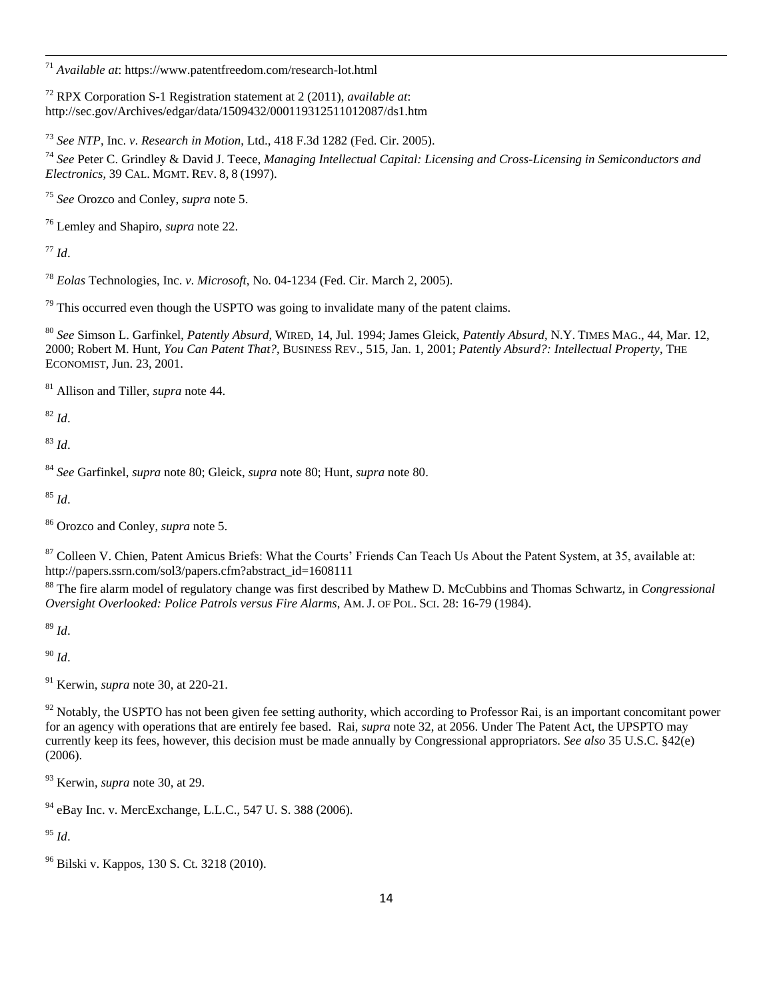*Available at*: https://www.patentfreedom.com/research-lot.html

 RPX Corporation S-1 Registration statement at 2 (2011), *available at*: http://sec.gov/Archives/edgar/data/1509432/000119312511012087/ds1.htm

*See NTP*, Inc. *v*. *Research in Motion*, Ltd., 418 F.3d 1282 (Fed. Cir. 2005).

 *See* Peter C. Grindley & David J. Teece, *Managing Intellectual Capital: Licensing and Cross-Licensing in Semiconductors and Electronics*, 39 CAL. MGMT. REV. 8, 8 (1997).

*See* Orozco and Conley, *supra* note 5.

Lemley and Shapiro, *supra* note 22.

*Id*.

 $\overline{a}$ 

*Eolas* Technologies, Inc. *v*. *Microsoft*, No. 04-1234 (Fed. Cir. March 2, 2005).

This occurred even though the USPTO was going to invalidate many of the patent claims.

 *See* Simson L. Garfinkel, *Patently Absurd*, WIRED, 14, Jul. 1994; James Gleick, *Patently Absurd*, N.Y. TIMES MAG., 44, Mar. 12, 2000; Robert M. Hunt, *You Can Patent That?*, BUSINESS REV., 515, Jan. 1, 2001; *Patently Absurd?: Intellectual Property*, THE ECONOMIST, Jun. 23, 2001.

Allison and Tiller, *supra* note 44.

*Id*.

*Id*.

*See* Garfinkel, *supra* note 80; Gleick, *supra* note 80; Hunt, *supra* note 80.

*Id*.

Orozco and Conley, *supra* note 5.

<sup>87</sup> Colleen V. Chien, Patent Amicus Briefs: What the Courts' Friends Can Teach Us About the Patent System, at 35, available at: http://papers.ssrn.com/sol3/papers.cfm?abstract\_id=1608111

 The fire alarm model of regulatory change was first described by Mathew D. McCubbins and Thomas Schwartz, in *Congressional Oversight Overlooked: Police Patrols versus Fire Alarms*, AM. J. OF POL. SCI. 28: 16-79 (1984).

*Id*.

*Id*.

Kerwin, *supra* note 30, at 220-21.

 Notably, the USPTO has not been given fee setting authority, which according to Professor Rai, is an important concomitant power for an agency with operations that are entirely fee based. Rai, *supra* note 32, at 2056. Under The Patent Act, the UPSPTO may currently keep its fees, however, this decision must be made annually by Congressional appropriators. *See also* 35 U.S.C. §42(e) (2006).

Kerwin, *supra* note 30, at 29.

eBay Inc. v. MercExchange, L.L.C., 547 U.S. 388 (2006).

*Id*.

Bilski v. Kappos, 130 S. Ct. 3218 (2010).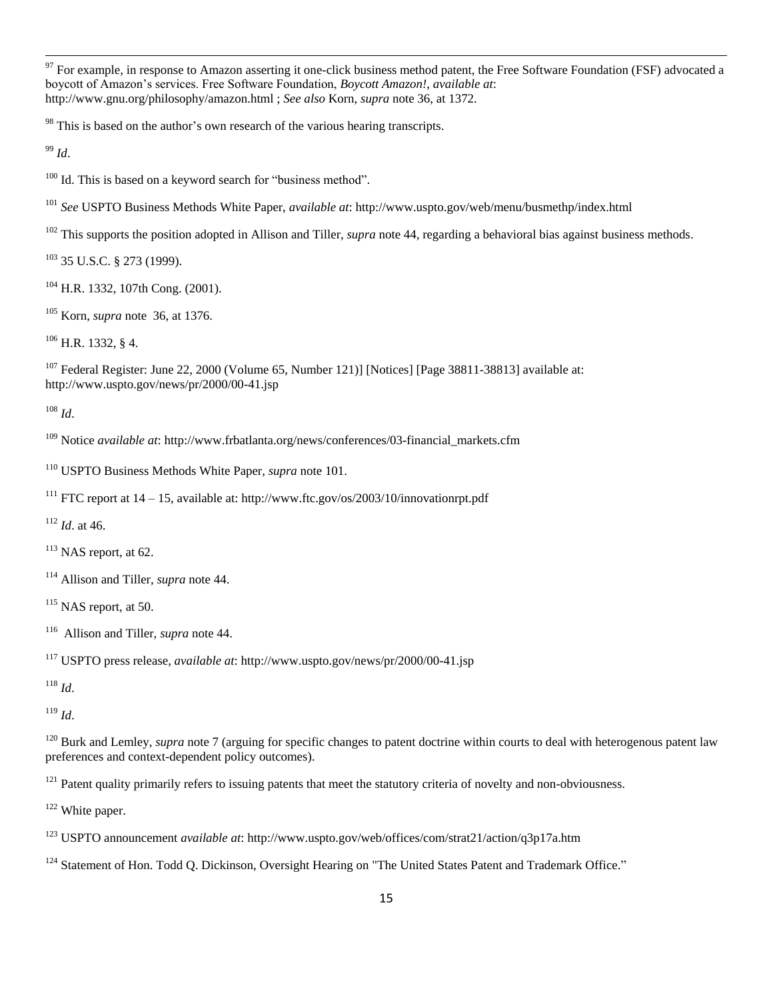$^{97}$  For example, in response to Amazon asserting it one-click business method patent, the Free Software Foundation (FSF) advocated a boycott of Amazon"s services. Free Software Foundation, *Boycott Amazon!*, *available at*: http://www.gnu.org/philosophy/amazon.html ; *See also* Korn, *supra* note 36, at 1372.

This is based on the author's own research of the various hearing transcripts.

*Id*.

 $\overline{a}$ 

<sup>100</sup> Id. This is based on a keyword search for "business method".

*See* USPTO Business Methods White Paper, *available at*: http://www.uspto.gov/web/menu/busmethp/index.html

<sup>102</sup> This supports the position adopted in Allison and Tiller, *supra* note 44, regarding a behavioral bias against business methods.

35 U.S.C. § 273 (1999).

H.R. 1332, 107th Cong. (2001).

Korn, *supra* note 36, at 1376.

H.R. 1332, § 4.

 Federal Register: June 22, 2000 (Volume 65, Number 121)] [Notices] [Page 38811-38813] available at: http://www.uspto.gov/news/pr/2000/00-41.jsp

*Id*.

Notice *available at*: http://www.frbatlanta.org/news/conferences/03-financial\_markets.cfm

USPTO Business Methods White Paper, *supra* note 101.

<sup>111</sup> FTC report at  $14 - 15$ , available at: http://www.ftc.gov/os/2003/10/innovationrpt.pdf

*Id*. at 46.

NAS report, at 62.

Allison and Tiller, *supra* note 44.

NAS report, at 50.

Allison and Tiller, *supra* note 44.

USPTO press release, *available at*: http://www.uspto.gov/news/pr/2000/00-41.jsp

*Id*.

*Id*.

<sup>120</sup> Burk and Lemley, *supra* note 7 (arguing for specific changes to patent doctrine within courts to deal with heterogenous patent law preferences and context-dependent policy outcomes).

Patent quality primarily refers to issuing patents that meet the statutory criteria of novelty and non-obviousness.

White paper.

USPTO announcement *available at*: http://www.uspto.gov/web/offices/com/strat21/action/q3p17a.htm

<sup>124</sup> Statement of Hon. Todd O. Dickinson, Oversight Hearing on "The United States Patent and Trademark Office."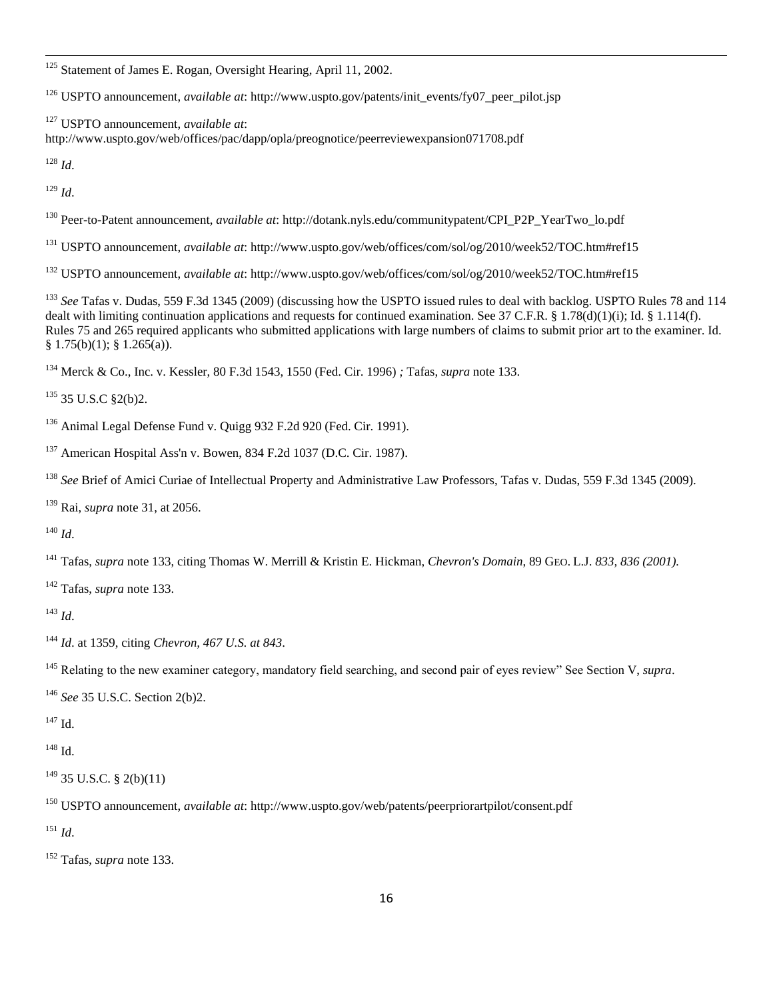<sup>125</sup> Statement of James E. Rogan, Oversight Hearing, April 11, 2002.

<sup>126</sup> USPTO announcement, *available at*: http://www.uspto.gov/patents/init\_events/fy07\_peer\_pilot.jsp

 USPTO announcement, *available at*: http://www.uspto.gov/web/offices/pac/dapp/opla/preognotice/peerreviewexpansion071708.pdf

*Id*.

 $\overline{a}$ 

*Id*.

Peer-to-Patent announcement, *available at*: http://dotank.nyls.edu/communitypatent/CPI\_P2P\_YearTwo\_lo.pdf

USPTO announcement, *available at*: http://www.uspto.gov/web/offices/com/sol/og/2010/week52/TOC.htm#ref15

USPTO announcement, *available at*: http://www.uspto.gov/web/offices/com/sol/og/2010/week52/TOC.htm#ref15

<sup>133</sup> *See* Tafas v. Dudas, 559 F.3d 1345 (2009) (discussing how the USPTO issued rules to deal with backlog. USPTO Rules 78 and 114 dealt with limiting continuation applications and requests for continued examination. See 37 C.F.R. § 1.78(d)(1)(i); Id. § 1.114(f). Rules 75 and 265 required applicants who submitted applications with large numbers of claims to submit prior art to the examiner. Id.  $§ 1.75(b)(1);$   $§ 1.265(a)$ ).

Merck & Co., Inc. v. Kessler, 80 F.3d 1543, 1550 (Fed. Cir. 1996) *;* Tafas, *supra* note 133.

35 U.S.C §2(b)2.

Animal Legal Defense Fund v. Quigg 932 F.2d 920 (Fed. Cir. 1991).

American Hospital Ass'n v. Bowen, 834 F.2d 1037 (D.C. Cir. 1987).

<sup>138</sup> See Brief of Amici Curiae of Intellectual Property and Administrative Law Professors, Tafas v. Dudas, 559 F.3d 1345 (2009).

Rai, *supra* note 31, at 2056.

*Id*.

Tafas, *supra* note 133, citing Thomas W. Merrill & Kristin E. Hickman, *Chevron's Domain*, 89 GEO. L.J. *833, 836 (2001).*

Tafas, *supra* note 133.

*Id*.

*Id*. at 1359, citing *Chevron, 467 U.S. at 843*.

Relating to the new examiner category, mandatory field searching, and second pair of eyes review" See Section V, *supra*.

*See* 35 U.S.C. Section 2(b)2.

Id.

Id.

35 U.S.C. § 2(b)(11)

USPTO announcement, *available at*: http://www.uspto.gov/web/patents/peerpriorartpilot/consent.pdf

*Id*.

Tafas, *supra* note 133.